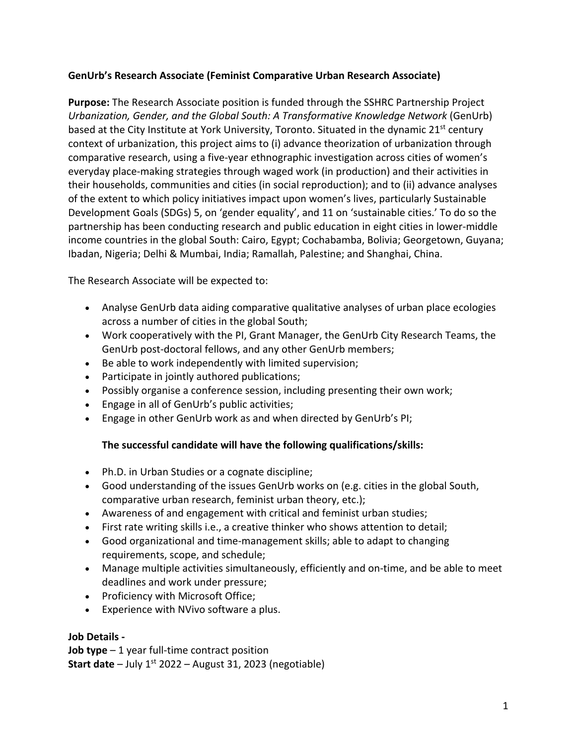## **GenUrb's Research Associate (Feminist Comparative Urban Research Associate)**

**Purpose:** The Research Associate position is funded through the SSHRC Partnership Project *Urbanization, Gender, and the Global South: A Transformative Knowledge Network* (GenUrb) based at the City Institute at York University, Toronto. Situated in the dynamic 21<sup>st</sup> century context of urbanization, this project aims to (i) advance theorization of urbanization through comparative research, using a five-year ethnographic investigation across cities of women's everyday place-making strategies through waged work (in production) and their activities in their households, communities and cities (in social reproduction); and to (ii) advance analyses of the extent to which policy initiatives impact upon women's lives, particularly Sustainable Development Goals (SDGs) 5, on 'gender equality', and 11 on 'sustainable cities.' To do so the partnership has been conducting research and public education in eight cities in lower-middle income countries in the global South: Cairo, Egypt; Cochabamba, Bolivia; Georgetown, Guyana; Ibadan, Nigeria; Delhi & Mumbai, India; Ramallah, Palestine; and Shanghai, China.

The Research Associate will be expected to:

- Analyse GenUrb data aiding comparative qualitative analyses of urban place ecologies across a number of cities in the global South;
- Work cooperatively with the PI, Grant Manager, the GenUrb City Research Teams, the GenUrb post-doctoral fellows, and any other GenUrb members;
- Be able to work independently with limited supervision;
- Participate in jointly authored publications;
- Possibly organise a conference session, including presenting their own work;
- Engage in all of GenUrb's public activities;
- Engage in other GenUrb work as and when directed by GenUrb's PI;

## **The successful candidate will have the following qualifications/skills:**

- Ph.D. in Urban Studies or a cognate discipline;
- Good understanding of the issues GenUrb works on (e.g. cities in the global South, comparative urban research, feminist urban theory, etc.);
- Awareness of and engagement with critical and feminist urban studies;
- First rate writing skills i.e., a creative thinker who shows attention to detail;
- Good organizational and time-management skills; able to adapt to changing requirements, scope, and schedule;
- Manage multiple activities simultaneously, efficiently and on-time, and be able to meet deadlines and work under pressure;
- Proficiency with Microsoft Office;
- Experience with NVivo software a plus.

## **Job Details -**

**Job type** – 1 year full-time contract position **Start date** – July 1<sup>st</sup> 2022 – August 31, 2023 (negotiable)